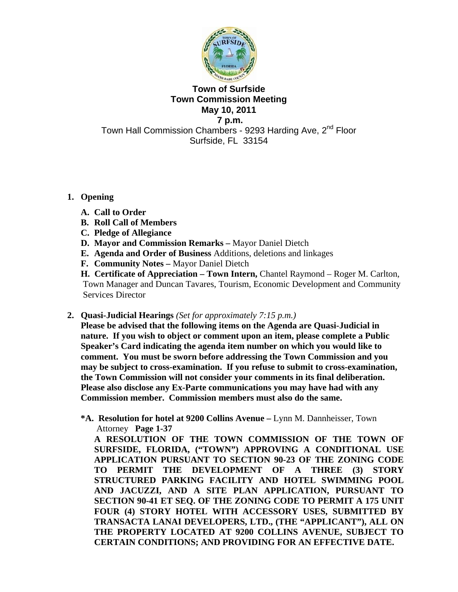

#### **Town of Surfside Town Commission Meeting May 10, 2011 7 p.m.**

Town Hall Commission Chambers - 9293 Harding Ave, 2<sup>nd</sup> Floor Surfside, FL 33154

# **1. Opening**

- **A. Call to Order**
- **B. Roll Call of Members**
- **C. Pledge of Allegiance**
- **D. Mayor and Commission Remarks** Mayor Daniel Dietch
- **E. Agenda and Order of Business** Additions, deletions and linkages
- **F. Community Notes** Mayor Daniel Dietch

**H. Certificate of Appreciation – Town Intern,** Chantel Raymond – Roger M. Carlton, Town Manager and Duncan Tavares, Tourism, Economic Development and Community Services Director

**2. Quasi-Judicial Hearings** *(Set for approximately 7:15 p.m.)*

**Please be advised that the following items on the Agenda are Quasi-Judicial in nature. If you wish to object or comment upon an item, please complete a Public Speaker's Card indicating the agenda item number on which you would like to comment. You must be sworn before addressing the Town Commission and you may be subject to cross-examination. If you refuse to submit to cross-examination, the Town Commission will not consider your comments in its final deliberation. Please also disclose any Ex-Parte communications you may have had with any Commission member. Commission members must also do the same.** 

 **\*A. Resolution for hotel at 9200 Collins Avenue –** Lynn M. Dannheisser, Town Attorney **Page 1-37** 

**A RESOLUTION OF THE TOWN COMMISSION OF THE TOWN OF SURFSIDE, FLORIDA, ("TOWN") APPROVING A CONDITIONAL USE APPLICATION PURSUANT TO SECTION 90-23 OF THE ZONING CODE TO PERMIT THE DEVELOPMENT OF A THREE (3) STORY STRUCTURED PARKING FACILITY AND HOTEL SWIMMING POOL AND JACUZZI, AND A SITE PLAN APPLICATION, PURSUANT TO SECTION 90-41 ET SEQ. OF THE ZONING CODE TO PERMIT A 175 UNIT FOUR (4) STORY HOTEL WITH ACCESSORY USES, SUBMITTED BY TRANSACTA LANAI DEVELOPERS, LTD., (THE "APPLICANT"), ALL ON THE PROPERTY LOCATED AT 9200 COLLINS AVENUE, SUBJECT TO CERTAIN CONDITIONS; AND PROVIDING FOR AN EFFECTIVE DATE.**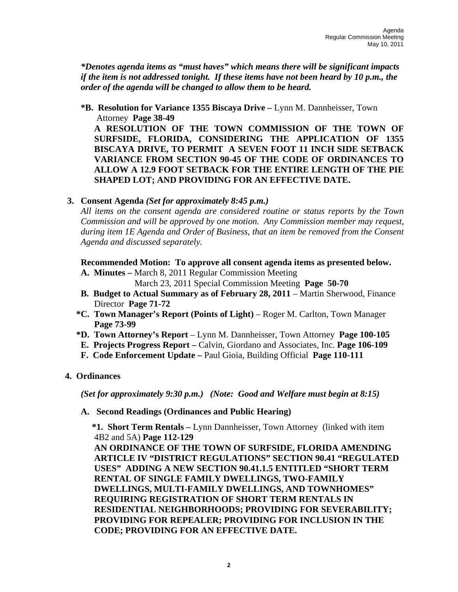*\*Denotes agenda items as "must haves" which means there will be significant impacts if the item is not addressed tonight. If these items have not been heard by 10 p.m., the order of the agenda will be changed to allow them to be heard.* 

**\*B. Resolution for Variance 1355 Biscaya Drive –** Lynn M. Dannheisser, Town Attorney **Page 38-49**

**A RESOLUTION OF THE TOWN COMMISSION OF THE TOWN OF SURFSIDE, FLORIDA, CONSIDERING THE APPLICATION OF 1355 BISCAYA DRIVE, TO PERMIT A SEVEN FOOT 11 INCH SIDE SETBACK VARIANCE FROM SECTION 90-45 OF THE CODE OF ORDINANCES TO ALLOW A 12.9 FOOT SETBACK FOR THE ENTIRE LENGTH OF THE PIE SHAPED LOT; AND PROVIDING FOR AN EFFECTIVE DATE.** 

## **3. Consent Agenda** *(Set for approximately 8:45 p.m.)*

*All items on the consent agenda are considered routine or status reports by the Town Commission and will be approved by one motion. Any Commission member may request, during item 1E Agenda and Order of Business, that an item be removed from the Consent Agenda and discussed separately.* 

**Recommended Motion: To approve all consent agenda items as presented below.** 

- **A. Minutes** March 8, 2011 Regular Commission Meeting March 23, 2011 Special Commission Meeting **Page 50-70**
- **B.** Budget to Actual Summary as of February 28, 2011 Martin Sherwood, Finance Director **Page 71-72**
- **\*C. Town Manager's Report (Points of Light)** Roger M. Carlton, Town Manager **Page 73-99**
- **\*D. Town Attorney's Report** Lynn M. Dannheisser, Town Attorney **Page 100-105**
- **E. Projects Progress Report** Calvin, Giordano and Associates, Inc. **Page 106-109**
- **F. Code Enforcement Update** Paul Gioia, Building Official **Page 110-111**

## **4. Ordinances**

*(Set for approximately 9:30 p.m.) (Note: Good and Welfare must begin at 8:15)* 

## **A. Second Readings (Ordinances and Public Hearing)**

 **\*1. Short Term Rentals –** Lynn Dannheisser, Town Attorney (linked with item 4B2 and 5A) **Page 112-129**

**AN ORDINANCE OF THE TOWN OF SURFSIDE, FLORIDA AMENDING ARTICLE IV "DISTRICT REGULATIONS" SECTION 90.41 "REGULATED USES" ADDING A NEW SECTION 90.41.1.5 ENTITLED "SHORT TERM RENTAL OF SINGLE FAMILY DWELLINGS, TWO-FAMILY DWELLINGS, MULTI-FAMILY DWELLINGS, AND TOWNHOMES" REQUIRING REGISTRATION OF SHORT TERM RENTALS IN RESIDENTIAL NEIGHBORHOODS; PROVIDING FOR SEVERABILITY; PROVIDING FOR REPEALER; PROVIDING FOR INCLUSION IN THE CODE; PROVIDING FOR AN EFFECTIVE DATE.**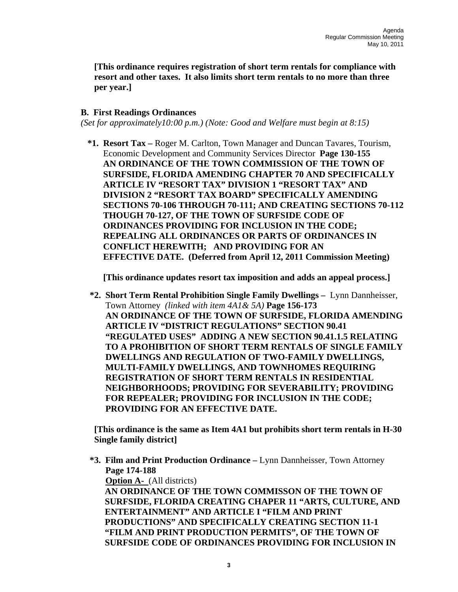**[This ordinance requires registration of short term rentals for compliance with resort and other taxes. It also limits short term rentals to no more than three per year.]** 

## **B. First Readings Ordinances**

*(Set for approximately10:00 p.m.) (Note: Good and Welfare must begin at 8:15)* 

 **\*1. Resort Tax –** Roger M. Carlton, Town Manager and Duncan Tavares, Tourism, Economic Development and Community Services Director **Page 130-155 AN ORDINANCE OF THE TOWN COMMISSION OF THE TOWN OF SURFSIDE, FLORIDA AMENDING CHAPTER 70 AND SPECIFICALLY ARTICLE IV "RESORT TAX" DIVISION 1 "RESORT TAX" AND DIVISION 2 "RESORT TAX BOARD" SPECIFICALLY AMENDING SECTIONS 70-106 THROUGH 70-111; AND CREATING SECTIONS 70-112 THOUGH 70-127, OF THE TOWN OF SURFSIDE CODE OF ORDINANCES PROVIDING FOR INCLUSION IN THE CODE; REPEALING ALL ORDINANCES OR PARTS OF ORDINANCES IN CONFLICT HEREWITH; AND PROVIDING FOR AN EFFECTIVE DATE. (Deferred from April 12, 2011 Commission Meeting)** 

 **[This ordinance updates resort tax imposition and adds an appeal process.]** 

 **\*2. Short Term Rental Prohibition Single Family Dwellings –** Lynn Dannheisser, Town Attorney *(linked with item 4A1& 5A)* **Page 156-173 AN ORDINANCE OF THE TOWN OF SURFSIDE, FLORIDA AMENDING ARTICLE IV "DISTRICT REGULATIONS" SECTION 90.41 "REGULATED USES" ADDING A NEW SECTION 90.41.1.5 RELATING TO A PROHIBITION OF SHORT TERM RENTALS OF SINGLE FAMILY DWELLINGS AND REGULATION OF TWO-FAMILY DWELLINGS, MULTI-FAMILY DWELLINGS, AND TOWNHOMES REQUIRING REGISTRATION OF SHORT TERM RENTALS IN RESIDENTIAL NEIGHBORHOODS; PROVIDING FOR SEVERABILITY; PROVIDING FOR REPEALER; PROVIDING FOR INCLUSION IN THE CODE; PROVIDING FOR AN EFFECTIVE DATE.** 

**[This ordinance is the same as Item 4A1 but prohibits short term rentals in H-30 Single family district]** 

 **\*3. Film and Print Production Ordinance –** Lynn Dannheisser, Town Attorney  **Page 174-188**

**Option A-** (All districts)  **AN ORDINANCE OF THE TOWN COMMISSON OF THE TOWN OF SURFSIDE, FLORIDA CREATING CHAPER 11 "ARTS, CULTURE, AND ENTERTAINMENT" AND ARTICLE I "FILM AND PRINT PRODUCTIONS" AND SPECIFICALLY CREATING SECTION 11-1 "FILM AND PRINT PRODUCTION PERMITS", OF THE TOWN OF SURFSIDE CODE OF ORDINANCES PROVIDING FOR INCLUSION IN**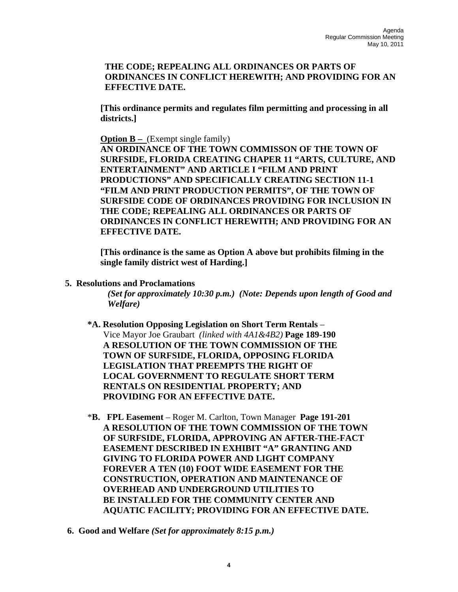## **THE CODE; REPEALING ALL ORDINANCES OR PARTS OF ORDINANCES IN CONFLICT HEREWITH; AND PROVIDING FOR AN EFFECTIVE DATE.**

**[This ordinance permits and regulates film permitting and processing in all districts.]** 

**Option B** – (Exempt single family) **AN ORDINANCE OF THE TOWN COMMISSON OF THE TOWN OF SURFSIDE, FLORIDA CREATING CHAPER 11 "ARTS, CULTURE, AND ENTERTAINMENT" AND ARTICLE I "FILM AND PRINT PRODUCTIONS" AND SPECIFICALLY CREATING SECTION 11-1 "FILM AND PRINT PRODUCTION PERMITS", OF THE TOWN OF SURFSIDE CODE OF ORDINANCES PROVIDING FOR INCLUSION IN THE CODE; REPEALING ALL ORDINANCES OR PARTS OF ORDINANCES IN CONFLICT HEREWITH; AND PROVIDING FOR AN EFFECTIVE DATE.** 

**[This ordinance is the same as Option A above but prohibits filming in the single family district west of Harding.]** 

 **5. Resolutions and Proclamations** 

*(Set for approximately 10:30 p.m.) (Note: Depends upon length of Good and Welfare)* 

- **\*A. Resolution Opposing Legislation on Short Term Rentals** Vice Mayor Joe Graubart *(linked with 4A1&4B2)* **Page 189-190 A RESOLUTION OF THE TOWN COMMISSION OF THE TOWN OF SURFSIDE, FLORIDA, OPPOSING FLORIDA LEGISLATION THAT PREEMPTS THE RIGHT OF LOCAL GOVERNMENT TO REGULATE SHORT TERM RENTALS ON RESIDENTIAL PROPERTY; AND PROVIDING FOR AN EFFECTIVE DATE.**
- \***B. FPL Easement** Roger M. Carlton, Town Manager **Page 191-201 A RESOLUTION OF THE TOWN COMMISSION OF THE TOWN OF SURFSIDE, FLORIDA, APPROVING AN AFTER-THE-FACT EASEMENT DESCRIBED IN EXHIBIT "A" GRANTING AND GIVING TO FLORIDA POWER AND LIGHT COMPANY FOREVER A TEN (10) FOOT WIDE EASEMENT FOR THE CONSTRUCTION, OPERATION AND MAINTENANCE OF OVERHEAD AND UNDERGROUND UTILITIES TO BE INSTALLED FOR THE COMMUNITY CENTER AND AQUATIC FACILITY; PROVIDING FOR AN EFFECTIVE DATE.**
- **6. Good and Welfare** *(Set for approximately 8:15 p.m.)*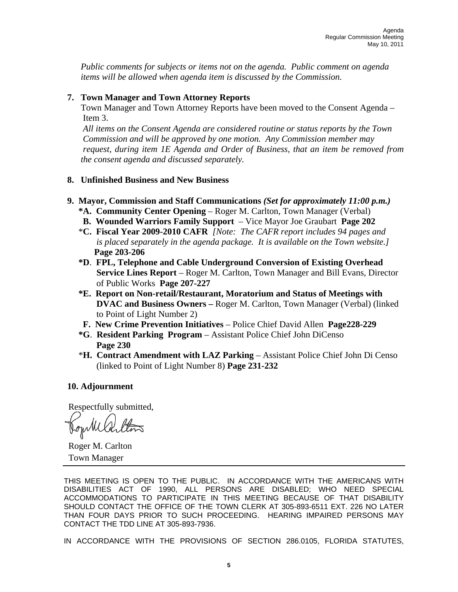*Public comments for subjects or items not on the agenda. Public comment on agenda items will be allowed when agenda item is discussed by the Commission.* 

## **7. Town Manager and Town Attorney Reports**

Town Manager and Town Attorney Reports have been moved to the Consent Agenda – Item 3.

 *All items on the Consent Agenda are considered routine or status reports by the Town Commission and will be approved by one motion. Any Commission member may request, during item 1E Agenda and Order of Business, that an item be removed from the consent agenda and discussed separately.* 

## **8. Unfinished Business and New Business**

- **9. Mayor, Commission and Staff Communications** *(Set for approximately 11:00 p.m.)* 
	- **\*A. Community Center Opening** Roger M. Carlton, Town Manager (Verbal)
	- **B. Wounded Warriors Family Support** Vice Mayor Joe Graubart **Page 202**
	- \***C. Fiscal Year 2009-2010 CAFR** *[Note: The CAFR report includes 94 pages and is placed separately in the agenda package. It is available on the Town website.]*  **Page 203-206**
	- **\*D**. **FPL, Telephone and Cable Underground Conversion of Existing Overhead Service Lines Report** – Roger M. Carlton, Town Manager and Bill Evans, Director of Public Works **Page 207-227**
	- **\*E. Report on Non-retail/Restaurant, Moratorium and Status of Meetings with DVAC and Business Owners –** Roger M. Carlton, Town Manager (Verbal) (linked to Point of Light Number 2)
	- **F. New Crime Prevention Initiatives** Police Chief David Allen **Page228-229**
	- **\*G**. **Resident Parking Program** Assistant Police Chief John DiCenso **Page 230**
	- \***H. Contract Amendment with LAZ Parking** Assistant Police Chief John Di Censo (linked to Point of Light Number 8) **Page 231-232**

## **10. Adjournment**

Respectfully submitted,

Journilla

 Roger M. Carlton Town Manager

THIS MEETING IS OPEN TO THE PUBLIC. IN ACCORDANCE WITH THE AMERICANS WITH DISABILITIES ACT OF 1990, ALL PERSONS ARE DISABLED; WHO NEED SPECIAL ACCOMMODATIONS TO PARTICIPATE IN THIS MEETING BECAUSE OF THAT DISABILITY SHOULD CONTACT THE OFFICE OF THE TOWN CLERK AT 305-893-6511 EXT. 226 NO LATER THAN FOUR DAYS PRIOR TO SUCH PROCEEDING. HEARING IMPAIRED PERSONS MAY CONTACT THE TDD LINE AT 305-893-7936.

IN ACCORDANCE WITH THE PROVISIONS OF SECTION 286.0105, FLORIDA STATUTES,